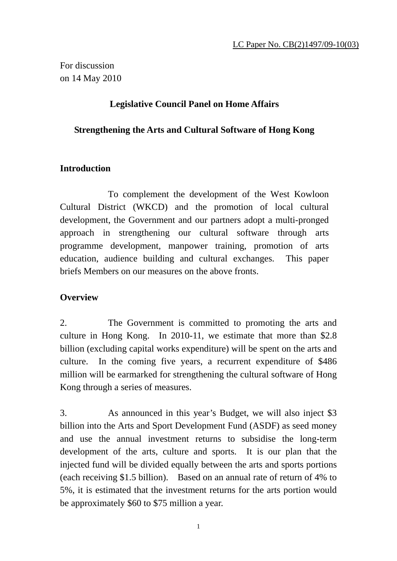For discussion on 14 May 2010

## **Legislative Council Panel on Home Affairs**

#### **Strengthening the Arts and Cultural Software of Hong Kong**

## **Introduction**

To complement the development of the West Kowloon Cultural District (WKCD) and the promotion of local cultural development, the Government and our partners adopt a multi-pronged approach in strengthening our cultural software through arts programme development, manpower training, promotion of arts education, audience building and cultural exchanges. This paper briefs Members on our measures on the above fronts.

## **Overview**

2. The Government is committed to promoting the arts and culture in Hong Kong. In 2010-11, we estimate that more than \$2.8 billion (excluding capital works expenditure) will be spent on the arts and culture. In the coming five years, a recurrent expenditure of \$486 million will be earmarked for strengthening the cultural software of Hong Kong through a series of measures.

3. As announced in this year's Budget, we will also inject \$3 billion into the Arts and Sport Development Fund (ASDF) as seed money and use the annual investment returns to subsidise the long-term development of the arts, culture and sports. It is our plan that the injected fund will be divided equally between the arts and sports portions (each receiving \$1.5 billion). Based on an annual rate of return of 4% to 5%, it is estimated that the investment returns for the arts portion would be approximately \$60 to \$75 million a year.

1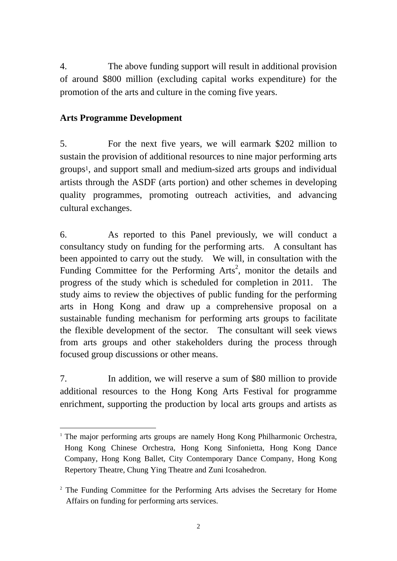4. The above funding support will result in additional provision of around \$800 million (excluding capital works expenditure) for the promotion of the arts and culture in the coming five years.

# **Arts Programme Development**

5. For the next five years, we will earmark \$202 million to sustain the provision of additional resources to nine major performing arts groups1, and support small and medium-sized arts groups and individual artists through the ASDF (arts portion) and other schemes in developing quality programmes, promoting outreach activities, and advancing cultural exchanges.

6. As reported to this Panel previously, we will conduct a consultancy study on funding for the performing arts. A consultant has been appointed to carry out the study. We will, in consultation with the Funding Committee for the Performing Arts<sup>2</sup>, monitor the details and progress of the study which is scheduled for completion in 2011. The study aims to review the objectives of public funding for the performing arts in Hong Kong and draw up a comprehensive proposal on a sustainable funding mechanism for performing arts groups to facilitate the flexible development of the sector. The consultant will seek views from arts groups and other stakeholders during the process through focused group discussions or other means.

7. In addition, we will reserve a sum of \$80 million to provide additional resources to the Hong Kong Arts Festival for programme enrichment, supporting the production by local arts groups and artists as

<sup>-</sup><sup>1</sup> The major performing arts groups are namely Hong Kong Philharmonic Orchestra, Hong Kong Chinese Orchestra, Hong Kong Sinfonietta, Hong Kong Dance Company, Hong Kong Ballet, City Contemporary Dance Company, Hong Kong Repertory Theatre, Chung Ying Theatre and Zuni Icosahedron.

<sup>&</sup>lt;sup>2</sup> The Funding Committee for the Performing Arts advises the Secretary for Home Affairs on funding for performing arts services.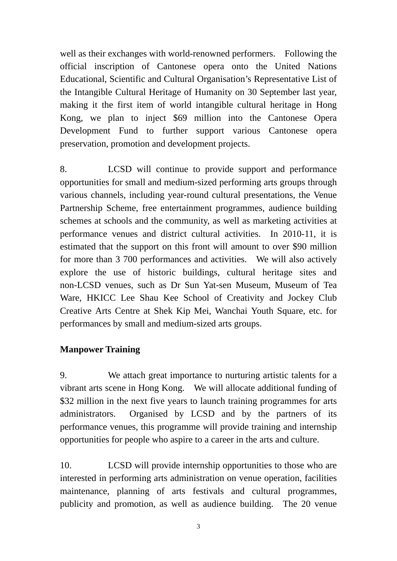well as their exchanges with world-renowned performers. Following the official inscription of Cantonese opera onto the United Nations Educational, Scientific and Cultural Organisation's Representative List of the Intangible Cultural Heritage of Humanity on 30 September last year, making it the first item of world intangible cultural heritage in Hong Kong, we plan to inject \$69 million into the Cantonese Opera Development Fund to further support various Cantonese opera preservation, promotion and development projects.

8. LCSD will continue to provide support and performance opportunities for small and medium-sized performing arts groups through various channels, including year-round cultural presentations, the Venue Partnership Scheme, free entertainment programmes, audience building schemes at schools and the community, as well as marketing activities at performance venues and district cultural activities. In 2010-11, it is estimated that the support on this front will amount to over \$90 million for more than 3 700 performances and activities. We will also actively explore the use of historic buildings, cultural heritage sites and non-LCSD venues, such as Dr Sun Yat-sen Museum, Museum of Tea Ware, HKICC Lee Shau Kee School of Creativity and Jockey Club Creative Arts Centre at Shek Kip Mei, Wanchai Youth Square, etc. for performances by small and medium-sized arts groups.

# **Manpower Training**

9. We attach great importance to nurturing artistic talents for a vibrant arts scene in Hong Kong. We will allocate additional funding of \$32 million in the next five years to launch training programmes for arts administrators. Organised by LCSD and by the partners of its performance venues, this programme will provide training and internship opportunities for people who aspire to a career in the arts and culture.

10. LCSD will provide internship opportunities to those who are interested in performing arts administration on venue operation, facilities maintenance, planning of arts festivals and cultural programmes, publicity and promotion, as well as audience building. The 20 venue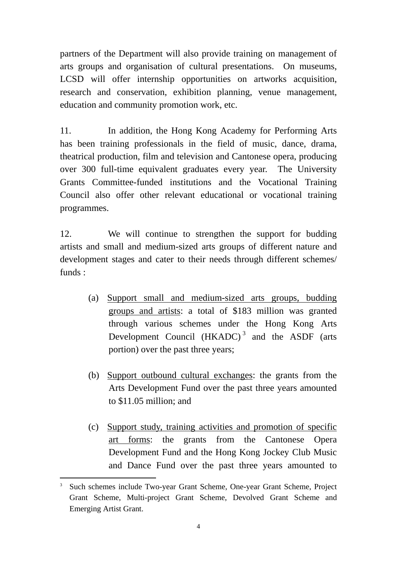partners of the Department will also provide training on management of arts groups and organisation of cultural presentations. On museums, LCSD will offer internship opportunities on artworks acquisition, research and conservation, exhibition planning, venue management, education and community promotion work, etc.

11. In addition, the Hong Kong Academy for Performing Arts has been training professionals in the field of music, dance, drama, theatrical production, film and television and Cantonese opera, producing over 300 full-time equivalent graduates every year. The University Grants Committee-funded institutions and the Vocational Training Council also offer other relevant educational or vocational training programmes.

12. We will continue to strengthen the support for budding artists and small and medium-sized arts groups of different nature and development stages and cater to their needs through different schemes/ funds :

- (a) Support small and medium-sized arts groups, budding groups and artists: a total of \$183 million was granted through various schemes under the Hong Kong Arts Development Council  $(HKADC)^3$  and the ASDF (arts portion) over the past three years;
- (b) Support outbound cultural exchanges: the grants from the Arts Development Fund over the past three years amounted to \$11.05 million; and
- (c) Support study, training activities and promotion of specific art forms: the grants from the Cantonese Opera Development Fund and the Hong Kong Jockey Club Music and Dance Fund over the past three years amounted to

<sup>-</sup>3 Such schemes include Two-year Grant Scheme, One-year Grant Scheme, Project Grant Scheme, Multi-project Grant Scheme, Devolved Grant Scheme and Emerging Artist Grant.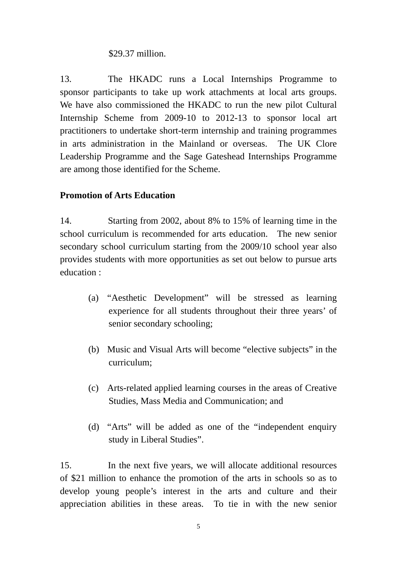## \$29.37 million.

13. The HKADC runs a Local Internships Programme to sponsor participants to take up work attachments at local arts groups. We have also commissioned the HKADC to run the new pilot Cultural Internship Scheme from 2009-10 to 2012-13 to sponsor local art practitioners to undertake short-term internship and training programmes in arts administration in the Mainland or overseas. The UK Clore Leadership Programme and the Sage Gateshead Internships Programme are among those identified for the Scheme.

## **Promotion of Arts Education**

14. Starting from 2002, about 8% to 15% of learning time in the school curriculum is recommended for arts education. The new senior secondary school curriculum starting from the 2009/10 school year also provides students with more opportunities as set out below to pursue arts education :

- (a) "Aesthetic Development" will be stressed as learning experience for all students throughout their three years' of senior secondary schooling;
- (b) Music and Visual Arts will become "elective subjects" in the curriculum;
- (c) Arts-related applied learning courses in the areas of Creative Studies, Mass Media and Communication; and
- (d) "Arts" will be added as one of the "independent enquiry study in Liberal Studies".

15. In the next five years, we will allocate additional resources of \$21 million to enhance the promotion of the arts in schools so as to develop young people's interest in the arts and culture and their appreciation abilities in these areas. To tie in with the new senior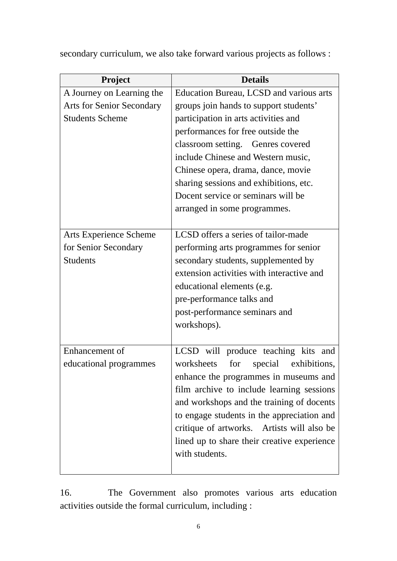secondary curriculum, we also take forward various projects as follows :

| Project                          | <b>Details</b>                               |
|----------------------------------|----------------------------------------------|
| A Journey on Learning the        | Education Bureau, LCSD and various arts      |
| <b>Arts for Senior Secondary</b> | groups join hands to support students'       |
| <b>Students Scheme</b>           | participation in arts activities and         |
|                                  | performances for free outside the            |
|                                  | classroom setting. Genres covered            |
|                                  | include Chinese and Western music,           |
|                                  | Chinese opera, drama, dance, movie           |
|                                  | sharing sessions and exhibitions, etc.       |
|                                  | Docent service or seminars will be           |
|                                  | arranged in some programmes.                 |
|                                  |                                              |
| Arts Experience Scheme           | LCSD offers a series of tailor-made          |
| for Senior Secondary             | performing arts programmes for senior        |
| <b>Students</b>                  | secondary students, supplemented by          |
|                                  | extension activities with interactive and    |
|                                  | educational elements (e.g.                   |
|                                  | pre-performance talks and                    |
|                                  | post-performance seminars and                |
|                                  | workshops).                                  |
|                                  |                                              |
| Enhancement of                   | LCSD will produce teaching kits and          |
| educational programmes           | worksheets<br>for<br>special<br>exhibitions, |
|                                  | enhance the programmes in museums and        |
|                                  | film archive to include learning sessions    |
|                                  | and workshops and the training of docents    |
|                                  | to engage students in the appreciation and   |
|                                  | critique of artworks. Artists will also be   |
|                                  | lined up to share their creative experience  |
|                                  | with students.                               |
|                                  |                                              |

16. The Government also promotes various arts education activities outside the formal curriculum, including :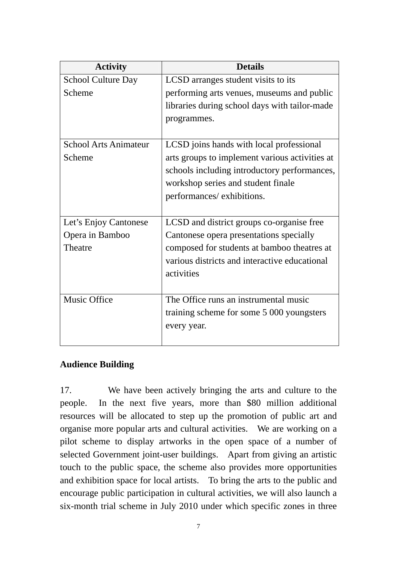| <b>Activity</b>              | <b>Details</b>                                 |
|------------------------------|------------------------------------------------|
| <b>School Culture Day</b>    | LCSD arranges student visits to its            |
| Scheme                       | performing arts venues, museums and public     |
|                              | libraries during school days with tailor-made  |
|                              | programmes.                                    |
|                              |                                                |
| <b>School Arts Animateur</b> | LCSD joins hands with local professional       |
| Scheme                       | arts groups to implement various activities at |
|                              | schools including introductory performances,   |
|                              | workshop series and student finale             |
|                              | performances/exhibitions.                      |
|                              |                                                |
| Let's Enjoy Cantonese        | LCSD and district groups co-organise free      |
| Opera in Bamboo              | Cantonese opera presentations specially        |
| Theatre                      | composed for students at bamboo theatres at    |
|                              | various districts and interactive educational  |
|                              | activities                                     |
|                              |                                                |
| <b>Music Office</b>          | The Office runs an instrumental music          |
|                              | training scheme for some 5 000 youngsters      |
|                              | every year.                                    |
|                              |                                                |

## **Audience Building**

17. We have been actively bringing the arts and culture to the people. In the next five years, more than \$80 million additional resources will be allocated to step up the promotion of public art and organise more popular arts and cultural activities. We are working on a pilot scheme to display artworks in the open space of a number of selected Government joint-user buildings. Apart from giving an artistic touch to the public space, the scheme also provides more opportunities and exhibition space for local artists. To bring the arts to the public and encourage public participation in cultural activities, we will also launch a six-month trial scheme in July 2010 under which specific zones in three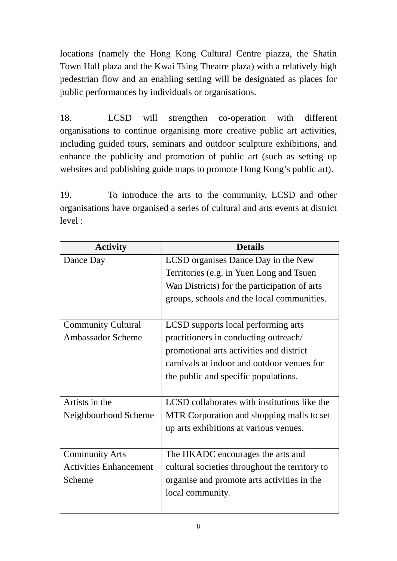locations (namely the Hong Kong Cultural Centre piazza, the Shatin Town Hall plaza and the Kwai Tsing Theatre plaza) with a relatively high pedestrian flow and an enabling setting will be designated as places for public performances by individuals or organisations.

18. LCSD will strengthen co-operation with different organisations to continue organising more creative public art activities, including guided tours, seminars and outdoor sculpture exhibitions, and enhance the publicity and promotion of public art (such as setting up websites and publishing guide maps to promote Hong Kong's public art).

19. To introduce the arts to the community, LCSD and other organisations have organised a series of cultural and arts events at district level :

| <b>Activity</b>               | <b>Details</b>                                 |
|-------------------------------|------------------------------------------------|
| Dance Day                     | LCSD organises Dance Day in the New            |
|                               | Territories (e.g. in Yuen Long and Tsuen       |
|                               | Wan Districts) for the participation of arts   |
|                               | groups, schools and the local communities.     |
|                               |                                                |
| <b>Community Cultural</b>     | LCSD supports local performing arts            |
| <b>Ambassador Scheme</b>      | practitioners in conducting outreach/          |
|                               | promotional arts activities and district       |
|                               | carnivals at indoor and outdoor venues for     |
|                               | the public and specific populations.           |
|                               |                                                |
| Artists in the                | LCSD collaborates with institutions like the   |
| Neighbourhood Scheme          | MTR Corporation and shopping malls to set      |
|                               | up arts exhibitions at various venues.         |
|                               |                                                |
| <b>Community Arts</b>         | The HKADC encourages the arts and              |
| <b>Activities Enhancement</b> | cultural societies throughout the territory to |
| Scheme                        | organise and promote arts activities in the    |
|                               | local community.                               |
|                               |                                                |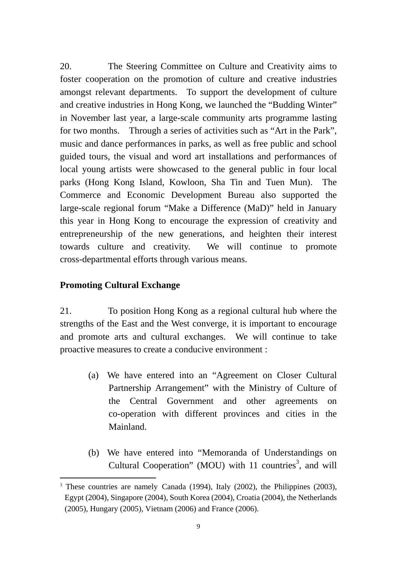20. The Steering Committee on Culture and Creativity aims to foster cooperation on the promotion of culture and creative industries amongst relevant departments. To support the development of culture and creative industries in Hong Kong, we launched the "Budding Winter" in November last year, a large-scale community arts programme lasting for two months. Through a series of activities such as "Art in the Park", music and dance performances in parks, as well as free public and school guided tours, the visual and word art installations and performances of local young artists were showcased to the general public in four local parks (Hong Kong Island, Kowloon, Sha Tin and Tuen Mun). The Commerce and Economic Development Bureau also supported the large-scale regional forum "Make a Difference (MaD)" held in January this year in Hong Kong to encourage the expression of creativity and entrepreneurship of the new generations, and heighten their interest towards culture and creativity. We will continue to promote cross-departmental efforts through various means.

## **Promoting Cultural Exchange**

21. To position Hong Kong as a regional cultural hub where the strengths of the East and the West converge, it is important to encourage and promote arts and cultural exchanges. We will continue to take proactive measures to create a conducive environment :

- (a) We have entered into an "Agreement on Closer Cultural Partnership Arrangement" with the Ministry of Culture of the Central Government and other agreements on co-operation with different provinces and cities in the Mainland.
- (b) We have entered into "Memoranda of Understandings on Cultural Cooperation" (MOU) with 11 countries<sup>3</sup>, and will

<sup>-</sup><sup>3</sup> These countries are namely Canada (1994), Italy (2002), the Philippines (2003), Egypt (2004), Singapore (2004), South Korea (2004), Croatia (2004), the Netherlands (2005), Hungary (2005), Vietnam (2006) and France (2006).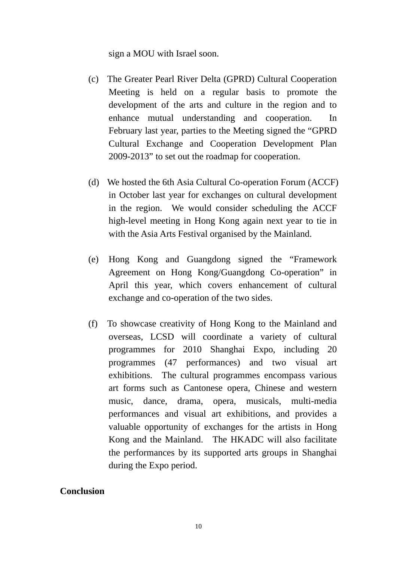sign a MOU with Israel soon.

- (c) The Greater Pearl River Delta (GPRD) Cultural Cooperation Meeting is held on a regular basis to promote the development of the arts and culture in the region and to enhance mutual understanding and cooperation. In February last year, parties to the Meeting signed the "GPRD Cultural Exchange and Cooperation Development Plan 2009-2013" to set out the roadmap for cooperation.
- (d) We hosted the 6th Asia Cultural Co-operation Forum (ACCF) in October last year for exchanges on cultural development in the region. We would consider scheduling the ACCF high-level meeting in Hong Kong again next year to tie in with the Asia Arts Festival organised by the Mainland.
- (e) Hong Kong and Guangdong signed the "Framework Agreement on Hong Kong/Guangdong Co-operation" in April this year, which covers enhancement of cultural exchange and co-operation of the two sides.
- (f) To showcase creativity of Hong Kong to the Mainland and overseas, LCSD will coordinate a variety of cultural programmes for 2010 Shanghai Expo, including 20 programmes (47 performances) and two visual art exhibitions. The cultural programmes encompass various art forms such as Cantonese opera, Chinese and western music, dance, drama, opera, musicals, multi-media performances and visual art exhibitions, and provides a valuable opportunity of exchanges for the artists in Hong Kong and the Mainland. The HKADC will also facilitate the performances by its supported arts groups in Shanghai during the Expo period.

## **Conclusion**